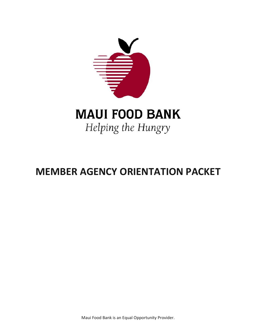

# Helping the Hungry

## **MEMBER AGENCY ORIENTATION PACKET**

Maui Food Bank is an Equal Opportunity Provider.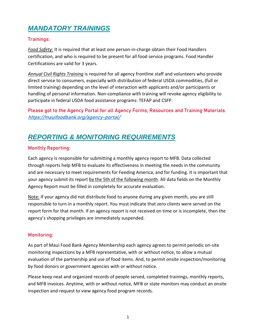## *MANDATORY TRAININGS*

#### **Trainings:**

*Food Safety:* It is required that at least one person-in-charge obtain their Food Handlers certification, and who is required to be present for all food service programs. Food Handler Certifications are valid for 3 years.

*Annual Civil Rights Training* is required for all agency frontline staff and volunteers who provide direct service to consumers, especially with distribution of federal USDA commodities, (full or limited training) depending on the level of interaction with applicants and/or participants or handling of personal information. Non-compliance with training will revoke agency eligibility to participate in federal USDA food assistance programs: TEFAP and CSFP.

**Please got to the Agency Portal for all Agency Forms, Resources and Training Materials.** <https://mauifoodbank.org/agency-portal/>

## *REPORTING & MONITORING REQUIREMENTS*

#### **Monthly Reporting:**

Each agency is responsible for submitting a monthly agency report to MFB. Data collected through reports help MFB to evaluate its effectiveness in meeting the needs in the community and are necessary to meet requirements for Feeding America, and for funding. It is important that your agency submit its report by the 5th of the following month. All data fields on the Monthly Agency Report must be filled in completely for accurate evaluation.

Note: If your agency did not distribute food to anyone during any given month, you are still responsible to turn in a monthly report. You must indicate that zero clients were served on the report form for that month. If an agency report is not received on time or is incomplete, then the agency's shopping privileges are immediately suspended.

#### **Monitoring:**

As part of Maui Food Bank Agency Membership each agency agrees to permit periodic on-site monitoring inspections by a MFB representative, with or without notice, to allow a mutual evaluation of the partnership and use of food items. And, to permit onsite inspection/monitoring by food donors or government agencies with or without notice.

Please keep neat and organized records of people served, completed trainings, monthly reports, and MFB invoices. Anytime, with or without notice, MFB or state monitors may conduct an onsite inspection and request to view agency food program records.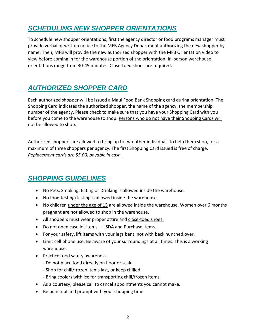## *SCHEDULING NEW SHOPPER ORIENTATIONS*

To schedule new shopper orientations, first the agency director or food programs manager must provide verbal or written notice to the MFB Agency Department authorizing the new shopper by name. Then, MFB will provide the new authorized shopper with the MFB Orientation video to view before coming in for the warehouse portion of the orientation. In-person warehouse orientations range from 30-45 minutes. Close-toed shoes are required.

## *AUTHORIZED SHOPPER CARD*

Each authorized shopper will be issued a Maui Food Bank Shopping card during orientation. The Shopping Card indicates the authorized shopper, the name of the agency, the membership number of the agency. Please check to make sure that you have your Shopping Card with you before you come to the warehouse to shop. Persons who do not have their Shopping Cards will not be allowed to shop.

Authorized shoppers are allowed to bring up to two other individuals to help them shop, for a maximum of three shoppers per agency. The first Shopping Card issued is free of charge. *Replacement cards are \$5.00, payable in cash.*

## *SHOPPING GUIDELINES*

- No Pets, Smoking, Eating or Drinking is allowed inside the warehouse.
- No food testing/tasting is allowed inside the warehouse.
- No children under the age of 13 are allowed inside the warehouse. Women over 6 months pregnant are not allowed to shop in the warehouse.
- All shoppers must wear proper attire and close-toed shoes.
- Do not open case lot items USDA and Purchase items.
- For your safety, lift items with your legs bent, not with back hunched over.
- Limit cell phone use. Be aware of your surroundings at all times. This is a working warehouse.
- Practice food safety awareness:
	- Do not place food directly on floor or scale.
	- Shop for chill/frozen items last, or keep chilled.
	- Bring coolers with ice for transporting chill/frozen items.
- As a courtesy, please call to cancel appointments you cannot make.
- Be punctual and prompt with your shopping time.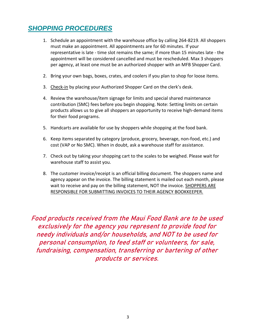## *SHOPPING PROCEDURES*

- 1. Schedule an appointment with the warehouse office by calling 264-8219. All shoppers must make an appointment. All appointments are for 60 minutes. If your representative is late - time slot remains the same; if more than 15 minutes late - the appointment will be considered cancelled and must be rescheduled. Max 3 shoppers per agency, at least one must be an authorized shopper with an MFB Shopper Card.
- 2. Bring your own bags, boxes, crates, and coolers if you plan to shop for loose items.
- 3. Check-in by placing your Authorized Shopper Card on the clerk's desk.
- 4. Review the warehouse/item signage for limits and special shared maintenance contribution (SMC) fees before you begin shopping. Note: Setting limits on certain products allows us to give all shoppers an opportunity to receive high-demand items for their food programs.
- 5. Handcarts are available for use by shoppers while shopping at the food bank.
- 6. Keep items separated by category (produce, grocery, beverage, non-food, etc.) and cost (VAP or No SMC). When in doubt, ask a warehouse staff for assistance.
- 7. Check out by taking your shopping cart to the scales to be weighed. Please wait for warehouse staff to assist you.
- 8. The customer invoice/receipt is an official billing document. The shoppers name and agency appear on the invoice. The billing statement is mailed out each month, please wait to receive and pay on the billing statement, NOT the invoice. SHOPPERS ARE RESPONSIBLE FOR SUBMITTING INVOICES TO THEIR AGENCY BOOKKEEPER.

**Food products received from the Maui Food Bank are to be used exclusively for the agency you represent to provide food for needy individuals and/or households, and NOT to be used for personal consumption, to feed staff or volunteers, for sale, fundraising, compensation, transferring or bartering of other products or services.**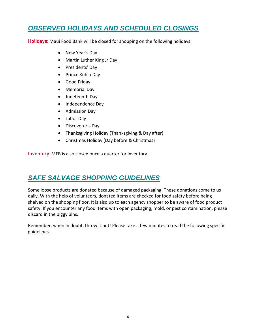## *OBSERVED HOLIDAYS AND SCHEDULED CLOSINGS*

**Holidays:** Maui Food Bank will be closed for shopping on the following holidays:

- New Year's Day
- Martin Luther King Jr Day
- Presidents' Day
- Prince Kuhio Day
- Good Friday
- Memorial Day
- Juneteenth Day
- Independence Day
- Admission Day
- Labor Day
- Discoverer's Day
- Thanksgiving Holiday (Thanksgiving & Day after)
- Christmas Holiday (Day before & Christmas)

**Inventory:** MFB is also closed once a quarter for inventory.

### *SAFE SALVAGE SHOPPING GUIDELINES*

Some loose products are donated because of damaged packaging. These donations come to us daily. With the help of volunteers, donated items are checked for food safety before being shelved on the shopping floor. It is also up to each agency shopper to be aware of food product safety. If you encounter any food items with open packaging, mold, or pest contamination, please discard in the piggy bins.

Remember, when in doubt, throw it out! Please take a few minutes to read the following specific guidelines.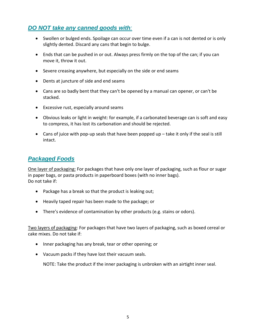#### *DO NOT take any canned goods with:*

- Swollen or bulged ends. Spoilage can occur over time even if a can is not dented or is only slightly dented. Discard any cans that begin to bulge.
- Ends that can be pushed in or out. Always press firmly on the top of the can; if you can move it, throw it out.
- Severe creasing anywhere, but especially on the side or end seams
- Dents at juncture of side and end seams
- Cans are so badly bent that they can't be opened by a manual can opener, or can't be stacked.
- Excessive rust, especially around seams
- Obvious leaks or light in weight: for example, if a carbonated beverage can is soft and easy to compress, it has lost its carbonation and should be rejected.
- Cans of juice with pop-up seals that have been popped up take it only if the seal is still intact.

#### *Packaged Foods*

One layer of packaging: For packages that have only one layer of packaging, such as flour or sugar in paper bags, or pasta products in paperboard boxes (with no inner bags). Do not take if:

- Package has a break so that the product is leaking out;
- Heavily taped repair has been made to the package; or
- There's evidence of contamination by other products (e.g. stains or odors).

Two layers of packaging: For packages that have two layers of packaging, such as boxed cereal or cake mixes. Do not take if:

- Inner packaging has any break, tear or other opening; or
- Vacuum packs if they have lost their vacuum seals.

NOTE: Take the product if the inner packaging is unbroken with an airtight inner seal.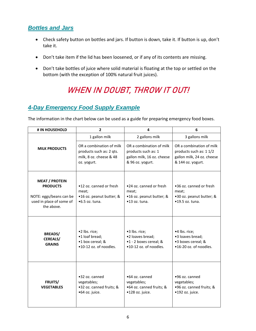#### *Bottles and Jars*

- Check safety button on bottles and jars. If button is down, take it. If button is up, don't take it.
- Don't take item if the lid has been loosened, or if any of its contents are missing.
- Don't take bottles of juice where solid material is floating at the top or settled on the bottom (with the exception of 100% natural fruit juices).

## **WHEN IN DOUBT, THROW IT OUT!**

### *4-Day Emergency Food Supply Example*

The information in the chart below can be used as a guide for preparing emergency food boxes.

| # IN HOUSEHOLD                                                                                                | $\overline{2}$                                                                                 | 4                                                                                                 | 6                                                                                                      |
|---------------------------------------------------------------------------------------------------------------|------------------------------------------------------------------------------------------------|---------------------------------------------------------------------------------------------------|--------------------------------------------------------------------------------------------------------|
|                                                                                                               | 1 gallon milk                                                                                  | 2 gallons milk                                                                                    | 3 gallons milk                                                                                         |
| <b>MILK PRODUCTS</b>                                                                                          | OR a combination of milk<br>products such as: 2 qts.<br>milk, 8 oz. cheese & 48<br>oz. yogurt. | OR a combination of milk<br>products such as: 1<br>gallon milk, 16 oz. cheese<br>& 96 oz. yogurt. | OR a combination of milk<br>products such as: 1 1/2<br>gallon milk, 24 oz. cheese<br>& 144 oz. yogurt. |
| <b>MEAT / PROTEIN</b><br><b>PRODUCTS</b><br>NOTE: eggs/beans can be<br>used in place of some of<br>the above. | •12 oz. canned or fresh<br>meat;<br>•16 oz. peanut butter; &<br>$•6.5$ oz. tuna.               | .24 oz. canned or fresh<br>meat;<br>•16 oz. peanut butter; &<br>•13 oz. tuna.                     | •36 oz. canned or fresh<br>meat;<br>•30 oz. peanut butter; &<br>$•19.5$ oz. tuna.                      |
| <b>BREADS/</b><br>CEREALS/<br><b>GRAINS</b>                                                                   | •2 lbs. rice;<br>•1 loaf bread;<br>•1 box cereal; &<br>•10-12 oz. of noodles.                  | •3 lbs. rice;<br>•2 loaves bread;<br>•1 - 2 boxes cereal; &<br>•10-12 oz. of noodles.             | •4 lbs. rice;<br>•3 loaves bread;<br>•3 boxes cereal; &<br>•16-20 oz. of noodles.                      |
| <b>FRUITS/</b><br><b>VEGETABLES</b>                                                                           | •32 oz. canned<br>vegetables;<br>•32 oz. canned fruits; &<br>•64 oz. juice.                    | •64 oz. canned<br>vegetables;<br>•64 oz. canned fruits; &<br>•128 oz. juice.                      | •96 oz. canned<br>vegetables;<br>•96 oz. canned fruits; &<br>•192 oz. juice.                           |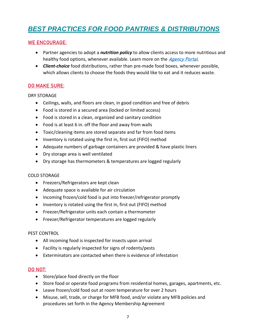## *BEST PRACTICES FOR FOOD PANTRIES & DISTRIBUTIONS*

#### **WE ENCOURAGE:**

- Partner agencies to adopt a *nutrition policy* to allow clients access to more nutritious and healthy food options, whenever available. Learn more on the *[Agency Portal](https://mauifoodbank.org/wp-content/uploads/2020/03/DevelopYourNutritionPolicy.pdf)*.
- *Client-choice* food distributions, rather than pre-made food boxes, whenever possible, which allows clients to choose the foods they would like to eat and it reduces waste.

#### **DO MAKE SURE:**

#### DRY STORAGE

- Ceilings, walls, and floors are clean, in good condition and free of debris
- Food is stored in a secured area (locked or limited access)
- Food is stored in a clean, organized and sanitary condition
- Food is at least 6 in. off the floor and away from walls
- Toxic/cleaning items are stored separate and far from food items
- Inventory is rotated using the first in, first out (FIFO) method
- Adequate numbers of garbage containers are provided & have plastic liners
- Dry storage area is well ventilated
- Dry storage has thermometers & temperatures are logged regularly

#### COLD STORAGE

- Freezers/Refrigerators are kept clean
- Adequate space is available for air circulation
- Incoming frozen/cold food is put into freezer/refrigerator promptly
- Inventory is rotated using the first in, first out (FIFO) method
- Freezer/Refrigerator units each contain a thermometer
- Freezer/Refrigerator temperatures are logged regularly

#### PEST CONTROL

- All incoming food is inspected for insects upon arrival
- Facility is regularly inspected for signs of rodents/pests
- Exterminators are contacted when there is evidence of infestation

#### **DO NOT:**

- Store/place food directly on the floor
- Store food or operate food programs from residential homes, garages, apartments, etc.
- Leave frozen/cold food out at room temperature for over 2 hours
- Misuse, sell, trade, or charge for MFB food, and/or violate any MFB policies and procedures set forth in the Agency Membership Agreement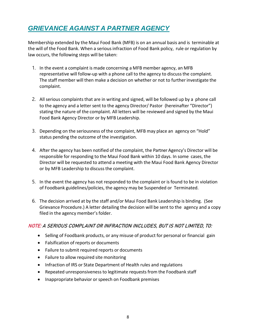## *GRIEVANCE AGAINST A PARTNER AGENCY*

Membership extended by the Maui Food Bank (MFB) is on an annual basis and is terminable at the will of the Food Bank. When a seriousinfraction of Food Bank policy, rule or regulation by law occurs, the following steps will be taken:

- 1. In the event a complaint is made concerning a MFB member agency, an MFB representative will follow-up with a phone call to the agency to discuss the complaint. The staff member will then make a decision on whether or not to furtherinvestigate the complaint.
- 2. All serious complaints that are in writing and signed, will be followed up by a phone call to the agency and a letter sent to the agency Director/ Pastor (hereinafter "Director") stating the nature of the complaint. All letters will be reviewed and signed by the Maui Food Bank Agency Director or by MFB Leadership.
- 3. Depending on the seriousness of the complaint, MFB may place an agency on "Hold" status pending the outcome of the investigation.
- 4. After the agency has been notified of the complaint, the Partner Agency's Director will be responsible for responding to the Maui Food Bank within 10 days. In some cases, the Director will be requested to attend a meeting with the Maui Food Bank Agency Director or by MFB Leadership to discussthe complaint.
- 5. In the event the agency has not responded to the complaint or is found to be in violation of Foodbank guidelines/policies, the agency may be Suspended or Terminated.
- 6. The decision arrived at by the staff and/or Maui Food Bank Leadership is binding. (See Grievance Procedure.) A letter detailing the decision will be sent to the agency and a copy filed in the agency member's folder.

#### **NOTE: A SERIOUS COMPLAINT OR INFRACTION INCLUDES, BUT IS NOT LIMITED, TO:**

- Selling of Foodbank products, or any misuse of product for personal or financial gain
- Falsification of reports or documents
- Failure to submit required reports or documents
- Failure to allow required site monitoring
- Infraction of IRS or State Department of Health rules and regulations
- Repeated unresponsiveness to legitimate requests from the Foodbank staff
- Inappropriate behavior or speech on Foodbank premises